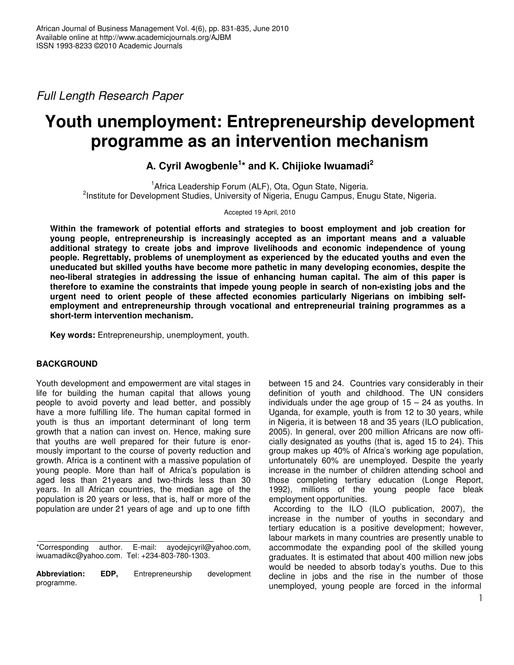*Full Length Research Paper*

# **Youth unemployment: Entrepreneurship development programme as an intervention mechanism**

# **A. Cyril Awogbenle 1 \* and K. Chijioke Iwuamadi 2**

<sup>1</sup> Africa Leadership Forum (ALF), Ota, Ogun State, Nigeria. <sup>2</sup>Institute for Development Studies, University of Nigeria, Enugu Campus, Enugu State, Nigeria.

Accepted 19 April, 2010

**Within the framework of potential efforts and strategies to boost employment and job creation for young people, entrepreneurship is increasingly accepted as an important means and a valuable additional strategy to create jobs and improve livelihoods and economic independence of young people. Regrettably, problems of unemployment as experienced by the educated youths and even the uneducated but skilled youths have become more pathetic in many developing economies, despite the neo-liberal strategies in addressing the issue of enhancing human capital. The aim of this paper is therefore to examine the constraints that impede young people in search of non-existing jobs and the urgent need to orient people of these affected economies particularly Nigerians on imbibing selfemployment and entrepreneurship through vocational and entrepreneurial training programmes as a short-term intervention mechanism.**

**Key words:** Entrepreneurship, unemployment, youth.

## **BACKGROUND**

Youth development and empowerment are vital stages in life for building the human capital that allows young people to avoid poverty and lead better, and possibly have a more fulfilling life. The human capital formed in youth is thus an important determinant of long term growth that a nation can invest on. Hence, making sure that youths are well prepared for their future is enormously important to the course of poverty reduction and growth. Africa is a continent with a massive population of young people. More than half of Africa's population is aged less than 21years and two-thirds less than 30 years. In all African countries, the median age of the population is 20 years or less, that is, half or more of the population are under 21 years of age and up to one fifth

\*Corresponding author. E-mail: ayodejicyril@yahoo.com, iwuamadikc@yahoo.com. Tel: +234-803-780-1303.

**Abbreviation: EDP,** Entrepreneurship development programme.

between 15 and 24. Countries vary considerably in their definition of youth and childhood. The UN considers individuals under the age group of  $15 - 24$  as youths. In Uganda, for example, youth is from 12 to 30 years, while in Nigeria, it is between 18 and 35 years (ILO publication, 2005). In general, over 200 million Africans are now officially designated as youths (that is, aged 15 to 24). This group makes up 40% of Africa's working age population, unfortunately 60% are unemployed. Despite the yearly increase in the number of children attending school and those completing tertiary education (Longe Report, 1992), millions of the young people face bleak employment opportunities.

According to the ILO (ILO publication, 2007), the increase in the number of youths in secondary and tertiary education is a positive development; however, labour markets in many countries are presently unable to accommodate the expanding pool of the skilled young graduates. It is estimated that about 400 million new jobs would be needed to absorb today's youths. Due to this decline in jobs and the rise in the number of those unemployed, young people are forced in the informal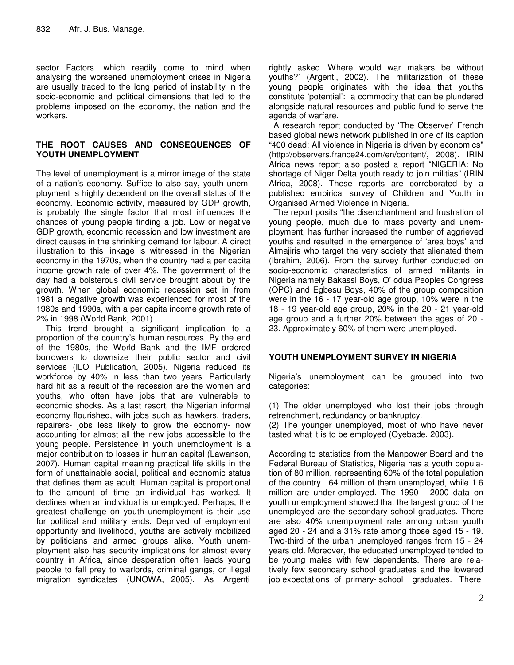sector. Factors which readily come to mind when analysing the worsened unemployment crises in Nigeria are usually traced to the long period of instability in the socio-economic and political dimensions that led to the problems imposed on the economy, the nation and the workers.

#### **THE ROOT CAUSES AND CONSEQUENCES OF YOUTH UNEMPLOYMENT**

The level of unemployment is a mirror image of the state of a nation's economy. Suffice to also say, youth unemployment is highly dependent on the overall status of the economy. Economic activity, measured by GDP growth, is probably the single factor that most influences the chances of young people finding a job. Low or negative GDP growth, economic recession and low investment are direct causes in the shrinking demand for labour. A direct illustration to this linkage is witnessed in the Nigerian economy in the 1970s, when the country had a per capita income growth rate of over 4%. The government of the day had a boisterous civil service brought about by the growth. When global economic recession set in from 1981 a negative growth was experienced for most of the 1980s and 1990s, with a per capita income growth rate of 2% in 1998 (World Bank, 2001).

832 Afr. J. Bus. Manage.<br>
Afr. J. Bus. Manage.<br>
Afr. J. Bus. Manage.<br>
Afr. J. Bus. Manage. Section and the proposition of the main control of the main control of the main control of the main control of the main control of This trend brought a significant implication to a proportion of the country's human resources. By the end of the 1980s, the World Bank and the IMF ordered borrowers to downsize their public sector and civil services (ILO Publication, 2005). Nigeria reduced its workforce by 40% in less than two years. Particularly hard hit as a result of the recession are the women and youths, who often have jobs that are vulnerable to economic shocks. As a last resort, the Nigerian informal economy flourished, with jobs such as hawkers, traders, repairers- jobs less likely to grow the economy- now accounting for almost all the new jobs accessible to the young people. Persistence in youth unemployment is a major contribution to losses in human capital (Lawanson, 2007). Human capital meaning practical life skills in the form of unattainable social, political and economic status that defines them as adult. Human capital is proportional to the amount of time an individual has worked. It declines when an individual is unemployed. Perhaps, the greatest challenge on youth unemployment is their use for political and military ends. Deprived of employment opportunity and livelihood, youths are actively mobilized by politicians and armed groups alike. Youth unemployment also has security implications for almost every country in Africa, since desperation often leads young people to fall prey to warlords, criminal gangs, or illegal migration syndicates (UNOWA, 2005). As Argenti

rightly asked 'Where would war makers be without youths?' (Argenti, 2002). The militarization of these young people originates with the idea that youths constitute 'potential': a commodity that can be plundered alongside natural resources and public fund to serve the agenda of warfare.

A research report conducted by 'The Observer' French based global news network published in one of its caption "400 dead: All violence in Nigeria is driven by economics" (http://observers.france24.com/en/content/, 2008). IRIN Africa news report also posted a report "NIGERIA: No shortage of Niger Delta youth ready to join militias" (IRIN Africa, 2008). These reports are corroborated by a published empirical survey of Children and Youth in Organised Armed Violence in Nigeria.

The report posits "the disenchantment and frustration of young people, much due to mass poverty and unemployment, has further increased the number of aggrieved youths and resulted in the emergence of 'area boys' and Almajiris who target the very society that alienated them (Ibrahim, 2006). From the survey further conducted on socio-economic characteristics of armed militants in Nigeria namely Bakassi Boys, O' odua Peoples Congress (OPC) and Egbesu Boys, 40% of the group composition were in the 16 - 17 year-old age group, 10% were in the 18 - 19 year-old age group, 20% in the 20 - 21 year-old age group and a further 20% between the ages of 20 - 23. Approximately 60% of them were unemployed.

## **YOUTH UNEMPLOYMENT SURVEY IN NIGERIA**

Nigeria's unemployment can be grouped into two categories:

(1) The older unemployed who lost their jobs through retrenchment, redundancy or bankruptcy.

(2) The younger unemployed, most of who have never tasted what it is to be employed (Oyebade, 2003).

According to statistics from the Manpower Board and the Federal Bureau of Statistics, Nigeria has a youth population of 80 million, representing 60% of the total population of the country. 64 million of them unemployed, while 1.6 million are under-employed. The 1990 - 2000 data on youth unemployment showed that the largest group of the unemployed are the secondary school graduates. There are also 40% unemployment rate among urban youth aged 20 - 24 and a 31% rate among those aged 15 - 19. Two-third of the urban unemployed ranges from 15 - 24 years old. Moreover, the educated unemployed tended to be young males with few dependents. There are relatively few secondary school graduates and the lowered job expectations of primary- school graduates. There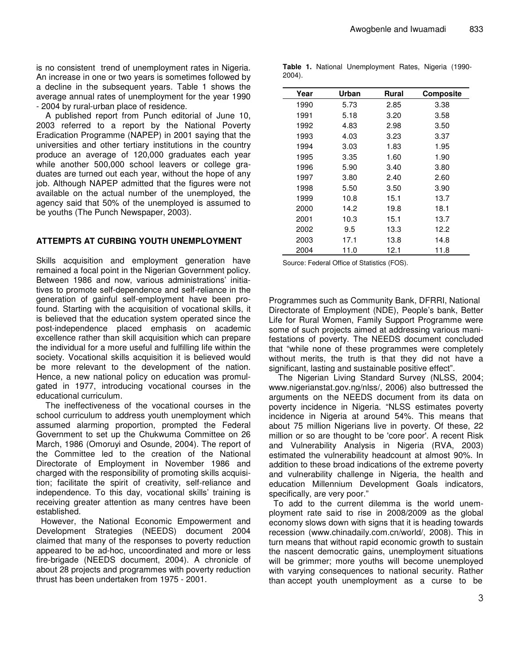is no consistent trend of unemployment rates in Nigeria. An increase in one or two years is sometimes followed by a decline in the subsequent years. Table 1 shows the average annual rates of unemployment for the year 1990 - 2004 by rural-urban place of residence.

A published report from Punch editorial of June 10, 2003 referred to a report by the National Poverty Eradication Programme (NAPEP) in 2001 saying that the universities and other tertiary institutions in the country produce an average of 120,000 graduates each year while another 500,000 school leavers or college graduates are turned out each year, without the hope of any job. Although NAPEP admitted that the figures were not available on the actual number of the unemployed, the agency said that 50% of the unemployed is assumed to be youths (The Punch Newspaper, 2003).

#### **ATTEMPTS AT CURBING YOUTH UNEMPLOYMENT**

Skills acquisition and employment generation have remained a focal point in the Nigerian Government policy. Between 1986 and now, various administrations' initiatives to promote self-dependence and self-reliance in the generation of gainful self-employment have been profound. Starting with the acquisition of vocational skills, it is believed that the education system operated since the post-independence placed emphasis on academic excellence rather than skill acquisition which can prepare the individual for a more useful and fulfilling life within the society. Vocational skills acquisition it is believed would be more relevant to the development of the nation. Hence, a new national policy on education was promulgated in 1977, introducing vocational courses in the educational curriculum.

The ineffectiveness of the vocational courses in the school curriculum to address youth unemployment which assumed alarming proportion, prompted the Federal Government to set up the Chukwuma Committee on 26 March, 1986 (Omoruyi and Osunde, 2004). The report of the Committee led to the creation of the National Directorate of Employment in November 1986 and charged with the responsibility of promoting skills acquisition; facilitate the spirit of creativity, self-reliance and independence. To this day, vocational skills' training is receiving greater attention as many centres have been established.

However, the National Economic Empowerment and Development Strategies (NEEDS) document 2004 claimed that many of the responses to poverty reduction appeared to be ad-hoc, uncoordinated and more or less fire-brigade (NEEDS document, 2004). A chronicle of about 28 projects and programmes with poverty reduction thrust has been undertaken from 1975 - 2001.

**Table 1.** National Unemployment Rates, Nigeria (1990- 2004).

| Year | Urban | Rural | <b>Composite</b> |
|------|-------|-------|------------------|
| 1990 | 5.73  | 2.85  | 3.38             |
| 1991 | 5.18  | 3.20  | 3.58             |
| 1992 | 4.83  | 2.98  | 3.50             |
| 1993 | 4.03  | 3.23  | 3.37             |
| 1994 | 3.03  | 1.83  | 1.95             |
| 1995 | 3.35  | 1.60  | 1.90             |
| 1996 | 5.90  | 3.40  | 3.80             |
| 1997 | 3.80  | 2.40  | 2.60             |
| 1998 | 5.50  | 3.50  | 3.90             |
| 1999 | 10.8  | 15.1  | 13.7             |
| 2000 | 14.2  | 19.8  | 18.1             |
| 2001 | 10.3  | 15.1  | 13.7             |
| 2002 | 9.5   | 13.3  | 12.2             |
| 2003 | 17.1  | 13.8  | 14.8             |
| 2004 | 11.0  | 12.1  | 11.8             |

Source: Federal Office of Statistics (FOS).

Programmes such as Community Bank, DFRRI, National Directorate of Employment (NDE), People's bank, Better Life for Rural Women, Family Support Programme were some of such projects aimed at addressing various manifestations of poverty. The NEEDS document concluded that "while none of these programmes were completely without merits, the truth is that they did not have a significant, lasting and sustainable positive effect".

The Nigerian Living Standard Survey (NLSS, 2004; www.nigerianstat.gov.ng/nlss/, 2006) also buttressed the arguments on the NEEDS document from its data on poverty incidence in Nigeria. "NLSS estimates poverty incidence in Nigeria at around 54%. This means that about 75 million Nigerians live in poverty. Of these, 22 million or so are thought to be 'core poor'. A recent Risk and Vulnerability Analysis in Nigeria (RVA, 2003) estimated the vulnerability headcount at almost 90%. In addition to these broad indications of the extreme poverty and vulnerability challenge in Nigeria, the health and education Millennium Development Goals indicators, specifically, are very poor."

To add to the current dilemma is the world unemployment rate said to rise in 2008/2009 as the global economy slows down with signs that it is heading towards recession (www.chinadaily.com.cn/world/, 2008). This in turn means that without rapid economic growth to sustain the nascent democratic gains, unemployment situations will be grimmer; more youths will become unemployed with varying consequences to national security. Rather than accept youth unemployment as a curse to be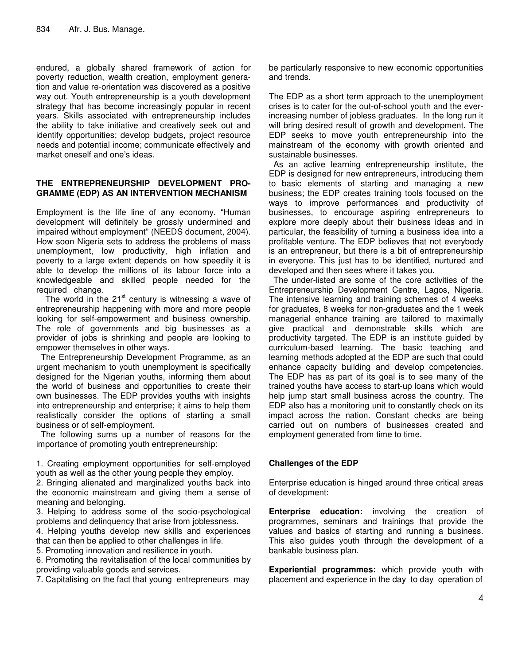endured, a globally shared framework of action for poverty reduction, wealth creation, employment generation and value re-orientation was discovered as a positive way out. Youth entrepreneurship is a youth development strategy that has become increasingly popular in recent years. Skills associated with entrepreneurship includes the ability to take initiative and creatively seek out and identify opportunities; develop budgets, project resource needs and potential income; communicate effectively and market oneself and one's ideas.

#### **THE ENTREPRENEURSHIP DEVELOPMENT PRO-GRAMME (EDP) AS AN INTERVENTION MECHANISM**

Employment is the life line of any economy. "Human development will definitely be grossly undermined and impaired without employment" (NEEDS document, 2004). How soon Nigeria sets to address the problems of mass unemployment, low productivity, high inflation and poverty to a large extent depends on how speedily it is able to develop the millions of its labour force into a knowledgeable and skilled people needed for the required change.

The world in the  $21<sup>st</sup>$  century is witnessing a wave of entrepreneurship happening with more and more people looking for self-empowerment and business ownership. The role of governments and big businesses as a provider of jobs is shrinking and people are looking to empower themselves in other ways.

The Entrepreneurship Development Programme, as an urgent mechanism to youth unemployment is specifically designed for the Nigerian youths, informing them about the world of business and opportunities to create their own businesses. The EDP provides youths with insights into entrepreneurship and enterprise; it aims to help them realistically consider the options of starting a small business or of self-employment.

The following sums up a number of reasons for the importance of promoting youth entrepreneurship:

1. Creating employment opportunities for self-employed youth as well as the other young people they employ.

2. Bringing alienated and marginalized youths back into the economic mainstream and giving them a sense of meaning and belonging.

3. Helping to address some of the socio-psychological problems and delinquency that arise from joblessness.

4. Helping youths develop new skills and experiences that can then be applied to other challenges in life.

5. Promoting innovation and resilience in youth. 6. Promoting the revitalisation of the local communities by

providing valuable goods and services.

7. Capitalising on the fact that young entrepreneurs may

be particularly responsive to new economic opportunities and trends.

The EDP as a short term approach to the unemployment crises is to cater for the out-of-school youth and the everincreasing number of jobless graduates. In the long run it will bring desired result of growth and development. The EDP seeks to move youth entrepreneurship into the mainstream of the economy with growth oriented and sustainable businesses.

As an active learning entrepreneurship institute, the EDP is designed for new entrepreneurs, introducing them to basic elements of starting and managing a new business; the EDP creates training tools focused on the ways to improve performances and productivity of businesses, to encourage aspiring entrepreneurs to explore more deeply about their business ideas and in particular, the feasibility of turning a business idea into a profitable venture. The EDP believes that not everybody is an entrepreneur, but there is a bit of entrepreneurship in everyone. This just has to be identified, nurtured and developed and then sees where it takes you.

The under-listed are some of the core activities of the Entrepreneurship Development Centre, Lagos, Nigeria. The intensive learning and training schemes of 4 weeks for graduates, 8 weeks for non-graduates and the 1 week managerial enhance training are tailored to maximally give practical and demonstrable skills which are productivity targeted. The EDP is an institute guided by curriculum-based learning. The basic teaching and learning methods adopted at the EDP are such that could enhance capacity building and develop competencies. The EDP has as part of its goal is to see many of the trained youths have access to start-up loans which would help jump start small business across the country. The EDP also has a monitoring unit to constantly check on its impact across the nation. Constant checks are being carried out on numbers of businesses created and employment generated from time to time.

## **Challenges of the EDP**

Enterprise education is hinged around three critical areas of development:

**Enterprise education:** involving the creation of programmes, seminars and trainings that provide the values and basics of starting and running a business. This also guides youth through the development of a bankable business plan.

**Experiential programmes:** which provide youth with placement and experience in the day to day operation of